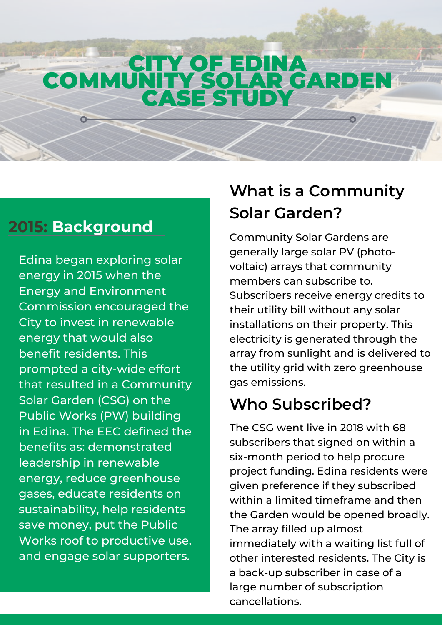## CITY OF EDINA COMMUNITY SOLAR GARDEN CASE STUD

#### **2015: Background**

Edina began exploring solar energy in 2015 when the Energy and Environment Commission encouraged the City to invest in renewable energy that would also benefit residents. This prompted a city-wide effort that resulted in a Community Solar Garden (CSG) on the Public Works (PW) building in Edina. The EEC defined the benefits as: demonstrated leadership in renewable energy, reduce greenhouse gases, educate residents on sustainability, help residents save money, put the Public Works roof to productive use, and engage solar supporters.

# **What is a Community Solar Garden?**

[Community](https://www.cooperativeenergyfutures.com/community-solar) Solar Gardens are generally large solar PV (photovoltaic) arrays that community members can subscribe to. Subscribers receive energy credits to their utility bill without any solar installations on their property. This electricity is generated through the array from sunlight and is delivered to the utility grid with zero greenhouse gas emissions.

# **Who Subscribed?**

The CSG went live in 2018 with 68 subscribers that signed on within a six-month period to help procure project funding. Edina residents were given preference if they subscribed within a limited timeframe and then the Garden would be opened broadly. The array filled up almost [immediately](https://www.cooperativeenergyfutures.com/community-solar) with a waiting list full of other interested residents. The City is a back-up subscriber in case of a large number of subscription cancellations.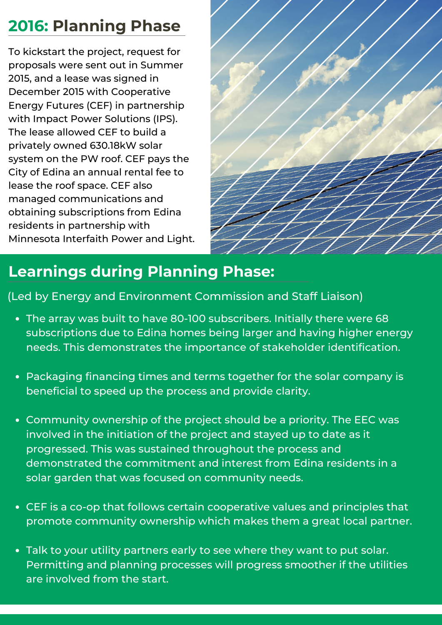# **2016: Planning Phase**

To kickstart the project, request for proposals were sent out in Summer 2015, and a lease was signed in December 2015 with [Cooperative](https://www.cooperativeenergyfutures.com/) Energy Futures (CEF) in partnership with Impact Power Solutions (IPS). The lease allowed CEF to build a privately owned 630.18kW solar system on the PW roof. CEF pays the City of Edina an annual rental fee to lease the roof space. CEF also managed communications and obtaining subscriptions from Edina residents in partnership with [Minnesota](https://solsmart.org/case-study-edina-minnesota/) Interfaith Power and Light.



### **Learnings during Planning Phase:**

(Led by Energy and Environment Commission and Staff Liaison)

- The array was built to have 80-100 subscribers. Initially there were 68 subscriptions due to Edina homes being larger and having higher energy needs. This demonstrates the importance of stakeholder identification.
- Packaging financing times and terms together for the solar company is beneficial to speed up the process and provide clarity.
- Community ownership of the project should be a priority. The EEC was involved in the initiation of the project and stayed up to date as it progressed. This was sustained throughout the process and demonstrated the commitment and interest from Edina residents in a solar garden that was focused on community needs.
- CEF is a co-op that follows certain [cooperative](https://www.cooperativeenergyfutures.com/vision1) values and principles that promote community ownership which makes them a great local partner.
- Talk to your utility partners early to see where they want to put solar. Permitting and planning processes will progress smoother if the utilities are involved from the start.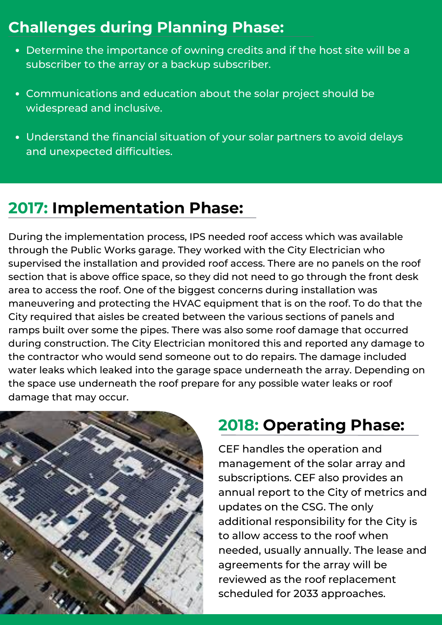#### **Challenges during Planning Phase:**

- Determine the importance of owning credits and if the host site will be a subscriber to the array or a backup subscriber.
- Communications and education about the solar project should be widespread and inclusive.
- Understand the financial situation of your solar partners to avoid delays and unexpected difficulties.

## **2017: Implementation Phase:**

During the implementation process, IPS needed roof access which was available through the Public Works garage. They worked with the City Electrician who supervised the installation and provided roof access. There are no panels on the roof section that is above office space, so they did not need to go through the front desk area to access the roof. One of the biggest concerns during installation was maneuvering and protecting the HVAC equipment that is on the roof. To do that the City required that aisles be created between the various sections of panels and ramps built over some the pipes. There was also some roof damage that occurred during construction. The City Electrician monitored this and reported any damage to the contractor who would send someone out to do repairs. The damage included water leaks which leaked into the garage space underneath the array. Depending on the space use underneath the roof prepare for any possible water leaks or roof damage that may occur.



#### **2018: Operating Phase:**

CEF handles the operation and management of the solar array and subscriptions. CEF also provides an annual report to the City of metrics and updates on the CSG. The only additional responsibility for the City is to allow access to the roof when needed, usually annually. The lease and agreements for the array will be reviewed as the roof replacement scheduled for 2033 approaches.